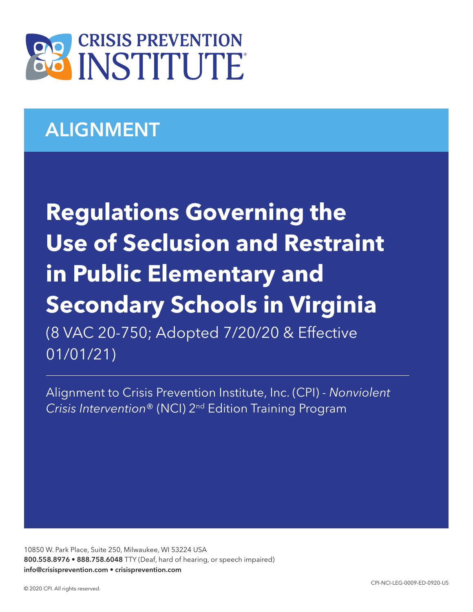

# ALIGNMENT

**Regulations Governing the Use of Seclusion and Restraint in Public Elementary and Secondary Schools in Virginia**  (8 VAC 20-750; Adopted 7/20/20 & Effective 01/01/21)

Alignment to Crisis Prevention Institute, Inc. (CPI) - *Nonviolent Crisis Intervention*® (NCI) 2nd Edition Training Program

10850 W. Park Place, Suite 250, Milwaukee, WI 53224 USA 800.558.8976 • 888.758.6048 TTY (Deaf, hard of hearing, or speech impaired) info@crisisprevention.com • crisisprevention.com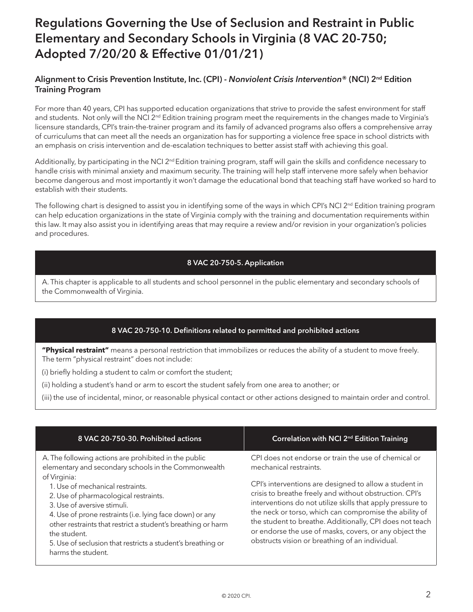## Regulations Governing the Use of Seclusion and Restraint in Public Elementary and Secondary Schools in Virginia (8 VAC 20-750; Adopted 7/20/20 & Effective 01/01/21)

### Alignment to Crisis Prevention Institute, Inc. (CPI) - *Nonviolent Crisis Intervention*® (NCI) 2nd Edition Training Program

For more than 40 years, CPI has supported education organizations that strive to provide the safest environment for staff and students. Not only will the NCI 2<sup>nd</sup> Edition training program meet the requirements in the changes made to Virginia's licensure standards, CPI's train-the-trainer program and its family of advanced programs also offers a comprehensive array of curriculums that can meet all the needs an organization has for supporting a violence free space in school districts with an emphasis on crisis intervention and de-escalation techniques to better assist staff with achieving this goal.

Additionally, by participating in the NCI  $2^{nd}$  Edition training program, staff will gain the skills and confidence necessary to handle crisis with minimal anxiety and maximum security. The training will help staff intervene more safely when behavior become dangerous and most importantly it won't damage the educational bond that teaching staff have worked so hard to establish with their students.

The following chart is designed to assist you in identifying some of the ways in which CPI's NCI 2<sup>nd</sup> Edition training program can help education organizations in the state of Virginia comply with the training and documentation requirements within this law. It may also assist you in identifying areas that may require a review and/or revision in your organization's policies and procedures.

#### 8 VAC 20-750-5. Application

A. This chapter is applicable to all students and school personnel in the public elementary and secondary schools of the Commonwealth of Virginia.

### 8 VAC 20-750-10. Definitions related to permitted and prohibited actions

**"Physical restraint"** means a personal restriction that immobilizes or reduces the ability of a student to move freely. The term "physical restraint" does not include:

(i) briefly holding a student to calm or comfort the student;

(ii) holding a student's hand or arm to escort the student safely from one area to another; or

(iii) the use of incidental, minor, or reasonable physical contact or other actions designed to maintain order and control.

| 8 VAC 20-750-30. Prohibited actions                                                                                                                                                                                                                                                                   | Correlation with NCI 2 <sup>nd</sup> Edition Training                                                                                                                                                                                                                                                                                                    |
|-------------------------------------------------------------------------------------------------------------------------------------------------------------------------------------------------------------------------------------------------------------------------------------------------------|----------------------------------------------------------------------------------------------------------------------------------------------------------------------------------------------------------------------------------------------------------------------------------------------------------------------------------------------------------|
| A. The following actions are prohibited in the public<br>elementary and secondary schools in the Commonwealth<br>of Virginia:<br>1. Use of mechanical restraints.                                                                                                                                     | CPI does not endorse or train the use of chemical or<br>mechanical restraints.<br>CPI's interventions are designed to allow a student in                                                                                                                                                                                                                 |
| 2. Use of pharmacological restraints.<br>3. Use of aversive stimuli.<br>4. Use of prone restraints (i.e. lying face down) or any<br>other restraints that restrict a student's breathing or harm<br>the student.<br>5. Use of seclusion that restricts a student's breathing or<br>harms the student. | crisis to breathe freely and without obstruction. CPI's<br>interventions do not utilize skills that apply pressure to<br>the neck or torso, which can compromise the ability of<br>the student to breathe. Additionally, CPI does not teach<br>or endorse the use of masks, covers, or any object the<br>obstructs vision or breathing of an individual. |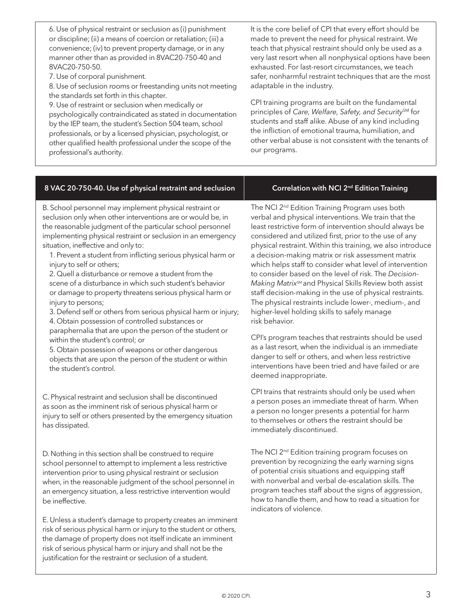6. Use of physical restraint or seclusion as (i) punishment or discipline; (ii) a means of coercion or retaliation; (iii) a convenience; (iv) to prevent property damage, or in any manner other than as provided in 8VAC20-750-40 and 8VAC20-750-50.

7. Use of corporal punishment.

8. Use of seclusion rooms or freestanding units not meeting the standards set forth in this chapter.

9. Use of restraint or seclusion when medically or psychologically contraindicated as stated in documentation by the IEP team, the student's Section 504 team, school professionals, or by a licensed physician, psychologist, or other qualified health professional under the scope of the professional's authority.

It is the core belief of CPI that every effort should be made to prevent the need for physical restraint. We teach that physical restraint should only be used as a very last resort when all nonphysical options have been exhausted. For last-resort circumstances, we teach safer, nonharmful restraint techniques that are the most adaptable in the industry.

CPI training programs are built on the fundamental principles of *Care, Welfare, Safety, and Security*SM for students and staff alike. Abuse of any kind including the infliction of emotional trauma, humiliation, and other verbal abuse is not consistent with the tenants of our programs.

#### 8 VAC 20-750-40. Use of physical restraint and seclusion  $\parallel$  Correlation with NCI 2<sup>nd</sup> Edition Training

B. School personnel may implement physical restraint or seclusion only when other interventions are or would be, in the reasonable judgment of the particular school personnel implementing physical restraint or seclusion in an emergency situation, ineffective and only to:

1. Prevent a student from inflicting serious physical harm or injury to self or others;

2. Quell a disturbance or remove a student from the scene of a disturbance in which such student's behavior or damage to property threatens serious physical harm or injury to persons;

3. Defend self or others from serious physical harm or injury; 4. Obtain possession of controlled substances or

paraphernalia that are upon the person of the student or within the student's control; or

5. Obtain possession of weapons or other dangerous objects that are upon the person of the student or within the student's control.

C. Physical restraint and seclusion shall be discontinued as soon as the imminent risk of serious physical harm or injury to self or others presented by the emergency situation has dissipated.

D. Nothing in this section shall be construed to require school personnel to attempt to implement a less restrictive intervention prior to using physical restraint or seclusion when, in the reasonable judgment of the school personnel in an emergency situation, a less restrictive intervention would be ineffective.

E. Unless a student's damage to property creates an imminent risk of serious physical harm or injury to the student or others, the damage of property does not itself indicate an imminent risk of serious physical harm or injury and shall not be the justification for the restraint or seclusion of a student.

The NCI 2<sup>nd</sup> Edition Training Program uses both verbal and physical interventions. We train that the least restrictive form of intervention should always be considered and utilized first, prior to the use of any physical restraint. Within this training, we also introduce a decision-making matrix or risk assessment matrix which helps staff to consider what level of intervention to consider based on the level of risk. The *Decision-Making Matrix*SM and Physical Skills Review both assist staff decision-making in the use of physical restraints. The physical restraints include lower-, medium-, and higher-level holding skills to safely manage risk behavior.

CPI's program teaches that restraints should be used as a last resort, when the individual is an immediate danger to self or others, and when less restrictive interventions have been tried and have failed or are deemed inappropriate.

CPI trains that restraints should only be used when a person poses an immediate threat of harm. When a person no longer presents a potential for harm to themselves or others the restraint should be immediately discontinued.

The NCI 2<sup>nd</sup> Edition training program focuses on prevention by recognizing the early warning signs of potential crisis situations and equipping staff with nonverbal and verbal de-escalation skills. The program teaches staff about the signs of aggression, how to handle them, and how to read a situation for indicators of violence.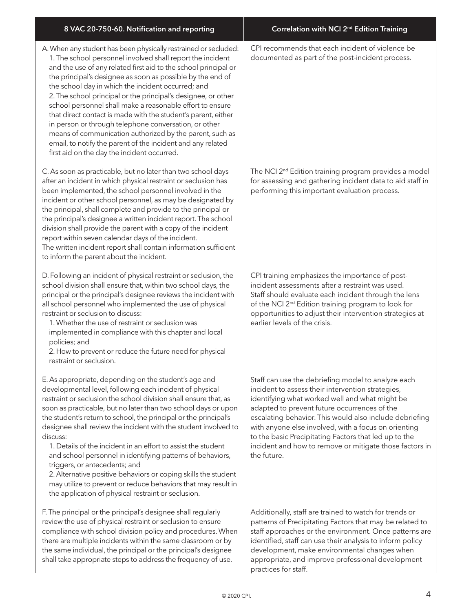A. When any student has been physically restrained or secluded: 1. The school personnel involved shall report the incident and the use of any related first aid to the school principal or the principal's designee as soon as possible by the end of the school day in which the incident occurred; and 2. The school principal or the principal's designee, or other school personnel shall make a reasonable effort to ensure that direct contact is made with the student's parent, either in person or through telephone conversation, or other means of communication authorized by the parent, such as email, to notify the parent of the incident and any related first aid on the day the incident occurred.

C. As soon as practicable, but no later than two school days after an incident in which physical restraint or seclusion has been implemented, the school personnel involved in the incident or other school personnel, as may be designated by the principal, shall complete and provide to the principal or the principal's designee a written incident report. The school division shall provide the parent with a copy of the incident report within seven calendar days of the incident. The written incident report shall contain information sufficient to inform the parent about the incident.

D. Following an incident of physical restraint or seclusion, the school division shall ensure that, within two school days, the principal or the principal's designee reviews the incident with all school personnel who implemented the use of physical restraint or seclusion to discuss:

1. Whether the use of restraint or seclusion was implemented in compliance with this chapter and local policies; and

2. How to prevent or reduce the future need for physical restraint or seclusion.

E. As appropriate, depending on the student's age and developmental level, following each incident of physical restraint or seclusion the school division shall ensure that, as soon as practicable, but no later than two school days or upon the student's return to school, the principal or the principal's designee shall review the incident with the student involved to discuss:

1. Details of the incident in an effort to assist the student and school personnel in identifying patterns of behaviors, triggers, or antecedents; and

2. Alternative positive behaviors or coping skills the student may utilize to prevent or reduce behaviors that may result in the application of physical restraint or seclusion.

F. The principal or the principal's designee shall regularly review the use of physical restraint or seclusion to ensure compliance with school division policy and procedures. When there are multiple incidents within the same classroom or by the same individual, the principal or the principal's designee shall take appropriate steps to address the frequency of use.

CPI recommends that each incident of violence be documented as part of the post-incident process.

The NCI 2<sup>nd</sup> Edition training program provides a model for assessing and gathering incident data to aid staff in performing this important evaluation process.

CPI training emphasizes the importance of postincident assessments after a restraint was used. Staff should evaluate each incident through the lens of the NCI 2<sup>nd</sup> Edition training program to look for opportunities to adjust their intervention strategies at earlier levels of the crisis.

Staff can use the debriefing model to analyze each incident to assess their intervention strategies, identifying what worked well and what might be adapted to prevent future occurrences of the escalating behavior. This would also include debriefing with anyone else involved, with a focus on orienting to the basic Precipitating Factors that led up to the incident and how to remove or mitigate those factors in the future.

Additionally, staff are trained to watch for trends or patterns of Precipitating Factors that may be related to staff approaches or the environment. Once patterns are identified, staff can use their analysis to inform policy development, make environmental changes when appropriate, and improve professional development practices for staff.